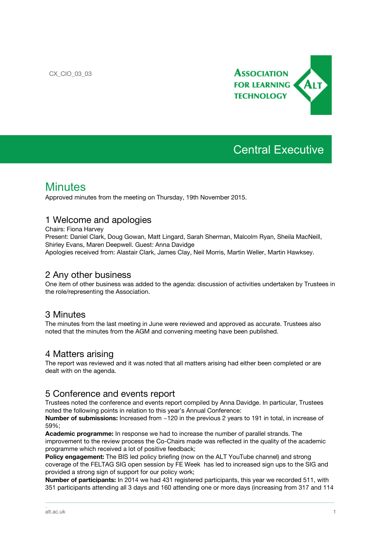

# Central Executive

# **Minutes**

Approved minutes from the meeting on Thursday, 19th November 2015.

#### 1 Welcome and apologies

Chairs: Fiona Harvey

Present: Daniel Clark, Doug Gowan, Matt Lingard, Sarah Sherman, Malcolm Ryan, Sheila MacNeill, Shirley Evans, Maren Deepwell. Guest: Anna Davidge

Apologies received from: Alastair Clark, James Clay, Neil Morris, Martin Weller, Martin Hawksey.

#### 2 Any other business

One item of other business was added to the agenda: discussion of activities undertaken by Trustees in the role/representing the Association.

## 3 Minutes

The minutes from the last meeting in June were reviewed and approved as accurate. Trustees also noted that the minutes from the AGM and convening meeting have been published.

## 4 Matters arising

The report was reviewed and it was noted that all matters arising had either been completed or are dealt with on the agenda.

#### 5 Conference and events report

Trustees noted the conference and events report compiled by Anna Davidge. In particular, Trustees noted the following points in relation to this year's Annual Conference:

**Number of submissions:** Increased from ~120 in the previous 2 years to 191 in total, in increase of 59%;

**Academic programme:** In response we had to increase the number of parallel strands. The improvement to the review process the Co-Chairs made was reflected in the quality of the academic programme which received a lot of positive feedback;

**Policy engagement:** The BIS led policy briefing (now on the ALT YouTube channel) and strong coverage of the FELTAG SIG open session by FE Week has led to increased sign ups to the SIG and provided a strong sign of support for our policy work;

**Number of participants:** In 2014 we had 431 registered participants, this year we recorded 511, with 351 participants attending all 3 days and 160 attending one or more days (increasing from 317 and 114

\_\_\_\_\_\_\_\_\_\_\_\_\_\_\_\_\_\_\_\_\_\_\_\_\_\_\_\_\_\_\_\_\_\_\_\_\_\_\_\_\_\_\_\_\_\_\_\_\_\_\_\_\_\_\_\_\_\_\_\_\_\_\_\_\_\_\_\_\_\_\_\_\_\_\_\_\_\_\_\_\_\_\_\_\_\_\_\_\_\_\_\_\_\_\_\_\_\_\_\_\_\_\_\_\_\_\_\_\_\_\_\_\_\_\_\_\_\_\_\_\_\_\_\_\_\_\_\_\_\_\_\_\_\_\_\_\_\_\_\_\_\_\_\_\_\_\_\_\_\_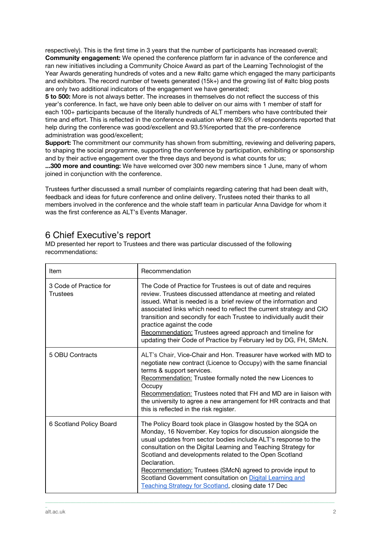respectively). This is the first time in 3 years that the number of participants has increased overall; **Community engagement:** We opened the conference platform far in advance of the conference and ran new initiatives including a Community Choice Award as part of the Learning Technologist of the Year Awards generating hundreds of votes and a new #altc game which engaged the many participants and exhibitors. The record number of tweets generated (15k+) and the growing list of #altc blog posts are only two additional indicators of the engagement we have generated;

**5 to 500:** More is not always better. The increases in themselves do not reflect the success of this year's conference. In fact, we have only been able to deliver on our aims with 1 member of staff for each 100+ participants because of the literally hundreds of ALT members who have contributed their time and effort. This is reflected in the conference evaluation where 92.6% of respondents reported that help during the conference was good/excellent and 93.5%reported that the pre-conference administration was good/excellent;

**Support:** The commitment our community has shown from submitting, reviewing and delivering papers, to shaping the social programme, supporting the conference by participation, exhibiting or sponsorship and by their active engagement over the three days and beyond is what counts for us;

**...300 more and counting:** We have welcomed over 300 new members since 1 June, many of whom joined in conjunction with the conference.

Trustees further discussed a small number of complaints regarding catering that had been dealt with, feedback and ideas for future conference and online delivery. Trustees noted their thanks to all members involved in the conference and the whole staff team in particular Anna Davidge for whom it was the first conference as ALT's Events Manager.

## 6 Chief Executive's report

MD presented her report to Trustees and there was particular discussed of the following recommendations:

| Item                                      | Recommendation                                                                                                                                                                                                                                                                                                                                                                                                                                                                                                             |
|-------------------------------------------|----------------------------------------------------------------------------------------------------------------------------------------------------------------------------------------------------------------------------------------------------------------------------------------------------------------------------------------------------------------------------------------------------------------------------------------------------------------------------------------------------------------------------|
| 3 Code of Practice for<br><b>Trustees</b> | The Code of Practice for Trustees is out of date and requires<br>review. Trustees discussed attendance at meeting and related<br>issued. What is needed is a brief review of the information and<br>associated links which need to reflect the current strategy and CIO<br>transition and secondly for each Trustee to individually audit their<br>practice against the code<br>Recommendation: Trustees agreed approach and timeline for<br>updating their Code of Practice by February led by DG, FH, SMcN.              |
| 5 OBU Contracts                           | ALT's Chair, Vice-Chair and Hon. Treasurer have worked with MD to<br>negotiate new contract (Licence to Occupy) with the same financial<br>terms & support services.<br>Recommendation: Trustee formally noted the new Licences to<br>Occupy<br>Recommendation: Trustees noted that FH and MD are in liaison with<br>the university to agree a new arrangement for HR contracts and that<br>this is reflected in the risk register.                                                                                        |
| 6 Scotland Policy Board                   | The Policy Board took place in Glasgow hosted by the SQA on<br>Monday, 16 November. Key topics for discussion alongside the<br>usual updates from sector bodies include ALT's response to the<br>consultation on the Digital Learning and Teaching Strategy for<br>Scotland and developments related to the Open Scotland<br>Declaration.<br>Recommendation: Trustees (SMcN) agreed to provide input to<br>Scotland Government consultation on Digital Learning and<br>Teaching Strategy for Scotland, closing date 17 Dec |

\_\_\_\_\_\_\_\_\_\_\_\_\_\_\_\_\_\_\_\_\_\_\_\_\_\_\_\_\_\_\_\_\_\_\_\_\_\_\_\_\_\_\_\_\_\_\_\_\_\_\_\_\_\_\_\_\_\_\_\_\_\_\_\_\_\_\_\_\_\_\_\_\_\_\_\_\_\_\_\_\_\_\_\_\_\_\_\_\_\_\_\_\_\_\_\_\_\_\_\_\_\_\_\_\_\_\_\_\_\_\_\_\_\_\_\_\_\_\_\_\_\_\_\_\_\_\_\_\_\_\_\_\_\_\_\_\_\_\_\_\_\_\_\_\_\_\_\_\_\_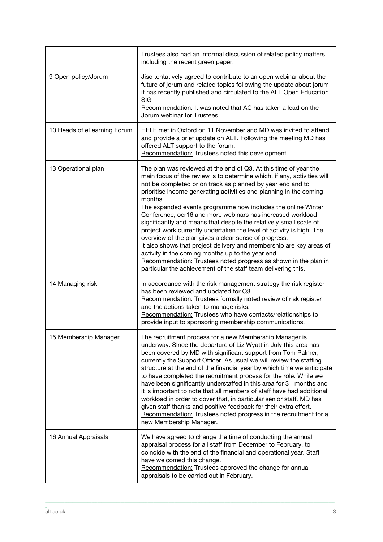|                             | Trustees also had an informal discussion of related policy matters<br>including the recent green paper.                                                                                                                                                                                                                                                                                                                                                                                                                                                                                                                                                                                                                                                                                                                                                                                         |
|-----------------------------|-------------------------------------------------------------------------------------------------------------------------------------------------------------------------------------------------------------------------------------------------------------------------------------------------------------------------------------------------------------------------------------------------------------------------------------------------------------------------------------------------------------------------------------------------------------------------------------------------------------------------------------------------------------------------------------------------------------------------------------------------------------------------------------------------------------------------------------------------------------------------------------------------|
| 9 Open policy/Jorum         | Jisc tentatively agreed to contribute to an open webinar about the<br>future of jorum and related topics following the update about jorum<br>it has recently published and circulated to the ALT Open Education<br><b>SIG</b><br>Recommendation: It was noted that AC has taken a lead on the<br>Jorum webinar for Trustees.                                                                                                                                                                                                                                                                                                                                                                                                                                                                                                                                                                    |
| 10 Heads of eLearning Forum | HELF met in Oxford on 11 November and MD was invited to attend<br>and provide a brief update on ALT. Following the meeting MD has<br>offered ALT support to the forum.<br>Recommendation: Trustees noted this development.                                                                                                                                                                                                                                                                                                                                                                                                                                                                                                                                                                                                                                                                      |
| 13 Operational plan         | The plan was reviewed at the end of Q3. At this time of year the<br>main focus of the review is to determine which, if any, activities will<br>not be completed or on track as planned by year end and to<br>prioritise income generating activities and planning in the coming<br>months.<br>The expanded events programme now includes the online Winter<br>Conference, oer16 and more webinars has increased workload<br>significantly and means that despite the relatively small scale of<br>project work currently undertaken the level of activity is high. The<br>overview of the plan gives a clear sense of progress.<br>It also shows that project delivery and membership are key areas of<br>activity in the coming months up to the year end.<br>Recommendation: Trustees noted progress as shown in the plan in<br>particular the achievement of the staff team delivering this. |
| 14 Managing risk            | In accordance with the risk management strategy the risk register<br>has been reviewed and updated for Q3.<br>Recommendation: Trustees formally noted review of risk register<br>and the actions taken to manage risks.<br>Recommendation: Trustees who have contacts/relationships to<br>provide input to sponsoring membership communications.                                                                                                                                                                                                                                                                                                                                                                                                                                                                                                                                                |
| 15 Membership Manager       | The recruitment process for a new Membership Manager is<br>underway. Since the departure of Liz Wyatt in July this area has<br>been covered by MD with significant support from Tom Palmer,<br>currently the Support Officer. As usual we will review the staffing<br>structure at the end of the financial year by which time we anticipate<br>to have completed the recruitment process for the role. While we<br>have been significantly understaffed in this area for 3+ months and<br>it is important to note that all members of staff have had additional<br>workload in order to cover that, in particular senior staff. MD has<br>given staff thanks and positive feedback for their extra effort.<br>Recommendation: Trustees noted progress in the recruitment for a<br>new Membership Manager.                                                                                      |
| 16 Annual Appraisals        | We have agreed to change the time of conducting the annual<br>appraisal process for all staff from December to February, to<br>coincide with the end of the financial and operational year. Staff<br>have welcomed this change.<br>Recommendation: Trustees approved the change for annual<br>appraisals to be carried out in February.                                                                                                                                                                                                                                                                                                                                                                                                                                                                                                                                                         |

\_\_\_\_\_\_\_\_\_\_\_\_\_\_\_\_\_\_\_\_\_\_\_\_\_\_\_\_\_\_\_\_\_\_\_\_\_\_\_\_\_\_\_\_\_\_\_\_\_\_\_\_\_\_\_\_\_\_\_\_\_\_\_\_\_\_\_\_\_\_\_\_\_\_\_\_\_\_\_\_\_\_\_\_\_\_\_\_\_\_\_\_\_\_\_\_\_\_\_\_\_\_\_\_\_\_\_\_\_\_\_\_\_\_\_\_\_\_\_\_\_\_\_\_\_\_\_\_\_\_\_\_\_\_\_\_\_\_\_\_\_\_\_\_\_\_\_\_\_\_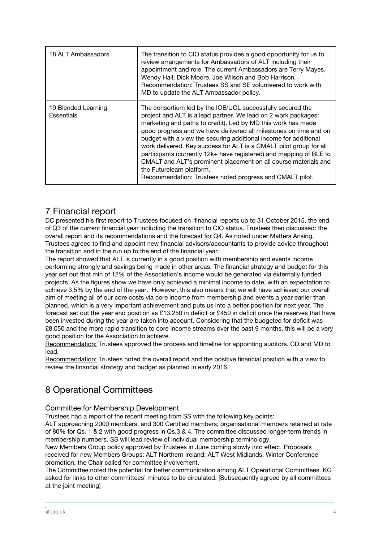| 18 ALT Ambassadors                | The transition to CIO status provides a good opportunity for us to<br>review arrangements for Ambassadors of ALT including their<br>appointment and role. The current Ambassadors are Terry Mayes,<br>Wendy Hall, Dick Moore, Joe Wilson and Bob Harrison.<br>Recommendation: Trustees SS and SE volunteered to work with<br>MD to update the ALT Ambassador policy.                                                                                                                                                                                                                                                                           |
|-----------------------------------|------------------------------------------------------------------------------------------------------------------------------------------------------------------------------------------------------------------------------------------------------------------------------------------------------------------------------------------------------------------------------------------------------------------------------------------------------------------------------------------------------------------------------------------------------------------------------------------------------------------------------------------------|
| 19 Blended Learning<br>Essentials | The consortium led by the IOE/UCL successfully secured the<br>project and ALT is a lead partner. We lead on 2 work packages:<br>marketing and paths to credit). Led by MD this work has made<br>good progress and we have delivered all milestones on time and on<br>budget with a view the securing additional income for additional<br>work delivered. Key success for ALT is a CMALT pilot group for all<br>participants (currently 12k+ have registered) and mapping of BLE to<br>CMALT and ALT's prominent placement on all course materials and<br>the Futurelearn platform.<br>Recommendation: Trustees noted progress and CMALT pilot. |

# 7 Financial report

DC presented his first report to Trustees focused on financial reports up to 31 October 2015, the end of Q3 of the current financial year including the transition to CIO status. Trustees then discussed: the overall report and its recommendations and the forecast for Q4. As noted under Matters Arising, Trustees agreed to find and appoint new financial advisors/accountants to provide advice throughout the transition and in the run up to the end of the financial year.

The report showed that ALT is currently in a good position with membership and events income performing strongly and savings being made in other areas. The financial strategy and budget for this year set out that min of 12% of the Association's income would be generated via externally funded projects. As the figures show we have only achieved a minimal income to date, with an expectation to achieve 3.5% by the end of the year. However, this also means that we will have achieved our overall aim of meeting all of our core costs via core income from membership and events a year earlier than planned, which is a very important achievement and puts us into a better position for next year. The forecast set out the year end position as £13,250 in deficit or £450 in deficit once the reserves that have been invested during the year are taken into account. Considering that the budgeted for deficit was £8,050 and the more rapid transition to core income streams over the past 9 months, this will be a very good position for the Association to achieve.

Recommendation: Trustees approved the process and timeline for appointing auditors. CD and MD to lead.

Recommendation: Trustees noted the overall report and the positive financial position with a view to review the financial strategy and budget as planned in early 2016.

# 8 Operational Committees

#### Committee for Membership Development

Trustees had a report of the recent meeting from SS with the following key points:

ALT approaching 2000 members, and 300 Certified members; organisational members retained at rate of 80% for Qs. 1 & 2 with good progress in Qs.3 & 4. The committee discussed longer-term trends in membership numbers. SS will lead review of individual membership terminology.

New Members Group policy approved by Trustees in June coming slowly into effect. Proposals received for new Members Groups: ALT Northern Ireland; ALT West Midlands. Winter Conference promotion; the Chair called for committee involvement.

The Committee noted the potential for better communication among ALT Operational Committees. KG asked for links to other committees' minutes to be circulated. [Subsequently agreed by all committees at the joint meeting]

\_\_\_\_\_\_\_\_\_\_\_\_\_\_\_\_\_\_\_\_\_\_\_\_\_\_\_\_\_\_\_\_\_\_\_\_\_\_\_\_\_\_\_\_\_\_\_\_\_\_\_\_\_\_\_\_\_\_\_\_\_\_\_\_\_\_\_\_\_\_\_\_\_\_\_\_\_\_\_\_\_\_\_\_\_\_\_\_\_\_\_\_\_\_\_\_\_\_\_\_\_\_\_\_\_\_\_\_\_\_\_\_\_\_\_\_\_\_\_\_\_\_\_\_\_\_\_\_\_\_\_\_\_\_\_\_\_\_\_\_\_\_\_\_\_\_\_\_\_\_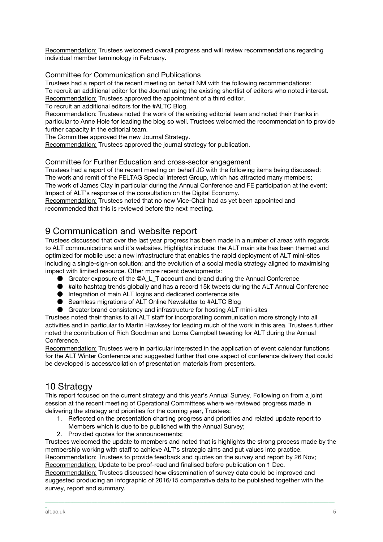Recommendation: Trustees welcomed overall progress and will review recommendations regarding individual member terminology in February.

#### Committee for Communication and Publications

Trustees had a report of the recent meeting on behalf NM with the following recommendations: To recruit an additional editor for the Journal using the existing shortlist of editors who noted interest. Recommendation: Trustees approved the appointment of a third editor.

To recruit an additional editors for the #ALTC Blog.

Recommendation: Trustees noted the work of the existing editorial team and noted their thanks in particular to Anne Hole for leading the blog so well. Trustees welcomed the recommendation to provide further capacity in the editorial team.

The Committee approved the new Journal Strategy.

Recommendation: Trustees approved the journal strategy for publication.

#### Committee for Further Education and cross-sector engagement

Trustees had a report of the recent meeting on behalf JC with the following items being discussed: The work and remit of the FELTAG Special Interest Group, which has attracted many members; The work of James Clay in particular during the Annual Conference and FE participation at the event; Impact of ALT's response of the consultation on the Digital Economy.

Recommendation: Trustees noted that no new Vice-Chair had as yet been appointed and recommended that this is reviewed before the next meeting.

## 9 Communication and website report

Trustees discussed that over the last year progress has been made in a number of areas with regards to ALT communications and it's websites. Highlights include: the ALT main site has been themed and optimized for mobile use; a new infrastructure that enables the rapid deployment of ALT mini-sites including a single-sign-on solution; and the evolution of a social media strategy aligned to maximising impact with limited resource. Other more recent developments:

- Greater exposure of the @A\_L\_T account and brand during the Annual Conference
- #altc hashtag trends globally and has a record 15k tweets during the ALT Annual Conference
- Integration of main ALT logins and dedicated conference site
- Seamless migrations of ALT Online Newsletter to #ALTC Blog
- Greater brand consistency and infrastructure for hosting ALT mini-sites

Trustees noted their thanks to all ALT staff for incorporating communication more strongly into all activities and in particular to Martin Hawksey for leading much of the work in this area. Trustees further noted the contribution of Rich Goodman and Lorna Campbell tweeting for ALT during the Annual Conference.

Recommendation: Trustees were in particular interested in the application of event calendar functions for the ALT Winter Conference and suggested further that one aspect of conference delivery that could be developed is access/collation of presentation materials from presenters.

# 10 Strategy

This report focused on the current strategy and this year's Annual Survey. Following on from a joint session at the recent meeting of Operational Committees where we reviewed progress made in delivering the strategy and priorities for the coming year, Trustees:

- 1. Reflected on the presentation charting progress and priorities and related update report to Members which is due to be published with the Annual Survey;
- 2. Provided quotes for the announcements;

Trustees welcomed the update to members and noted that is highlights the strong process made by the membership working with staff to achieve ALT's strategic aims and put values into practice.

Recommendation: Trustees to provide feedback and quotes on the survey and report by 26 Nov; Recommendation: Update to be proof-read and finalised before publication on 1 Dec.

Recommendation: Trustees discussed how dissemination of survey data could be improved and suggested producing an infographic of 2016/15 comparative data to be published together with the survey, report and summary.

\_\_\_\_\_\_\_\_\_\_\_\_\_\_\_\_\_\_\_\_\_\_\_\_\_\_\_\_\_\_\_\_\_\_\_\_\_\_\_\_\_\_\_\_\_\_\_\_\_\_\_\_\_\_\_\_\_\_\_\_\_\_\_\_\_\_\_\_\_\_\_\_\_\_\_\_\_\_\_\_\_\_\_\_\_\_\_\_\_\_\_\_\_\_\_\_\_\_\_\_\_\_\_\_\_\_\_\_\_\_\_\_\_\_\_\_\_\_\_\_\_\_\_\_\_\_\_\_\_\_\_\_\_\_\_\_\_\_\_\_\_\_\_\_\_\_\_\_\_\_